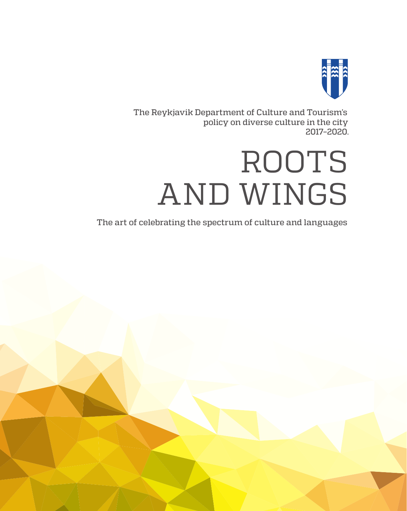

The Reykjavik Department of Culture and Tourism's policy on diverse culture in the city 2017–2020.

# ROOTS AND WINGS

The art of celebrating the spectrum of culture and languages

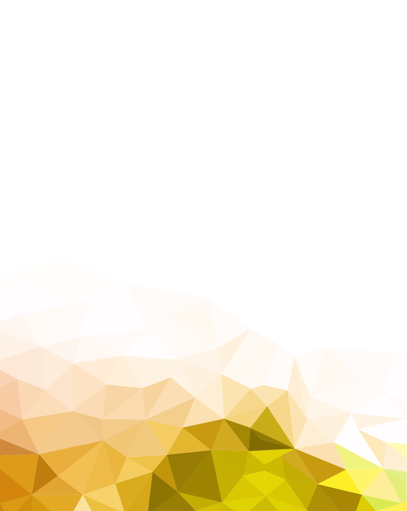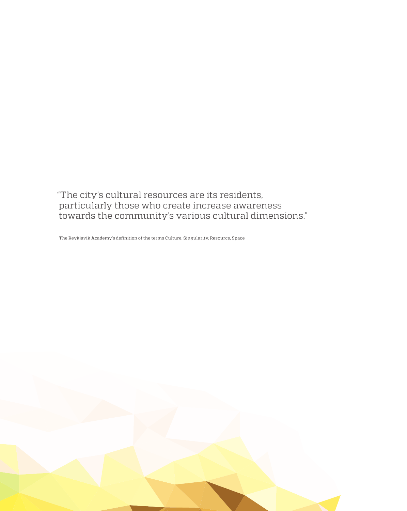"The city's cultural resources are its residents, particularly those who create increase awareness towards the community's various cultural dimensions."

The Reykjavik Academy's definition of the terms Culture, Singularity, Resource, Space

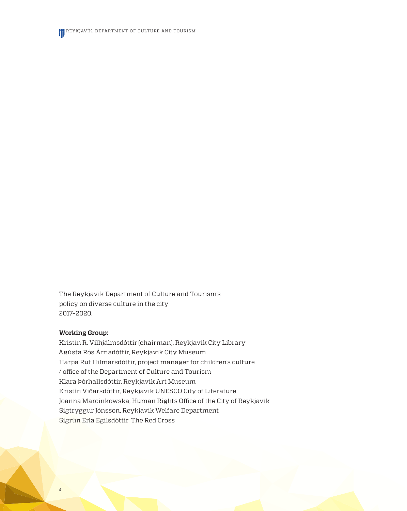REYKJAVÍK, DEPARTMENT OF CULTURE AND TOURISM

The Reykjavik Department of Culture and Tourism's policy on diverse culture in the city 2017–2020.

#### **Working Group:**

Kristín R. Vilhjálmsdóttir (chairman), Reykjavik City Library Ágústa Rós Árnadóttir, Reykjavik City Museum Harpa Rut Hilmarsdóttir, project manager for children's culture / office of the Department of Culture and Tourism Klara Þórhallsdóttir, Reykjavik Art Museum Kristín Viðarsdóttir, Reykjavik UNESCO City of Literature Joanna Marcinkowska, Human Rights Office of the City of Reykjavík Sigtryggur Jónsson, Reykjavik Welfare Department Sigrún Erla Egilsdóttir, The Red Cross

4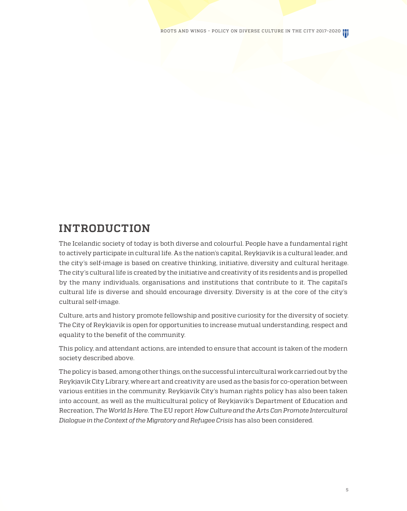ROOTS AND WINGS – POLICY ON DIVERSE CULTURE IN THE CITY 2017–2020

## **INTRODUCTION**

The Icelandic society of today is both diverse and colourful. People have a fundamental right to actively participate in cultural life. As the nation's capital, Reykjavik is a cultural leader, and the city's self-image is based on creative thinking, initiative, diversity and cultural heritage. The city's cultural life is created by the initiative and creativity of its residents and is propelled by the many individuals, organisations and institutions that contribute to it. The capital's cultural life is diverse and should encourage diversity. Diversity is at the core of the city's cultural self-image.

Culture, arts and history promote fellowship and positive curiosity for the diversity of society. The City of Reykjavik is open for opportunities to increase mutual understanding, respect and equality to the benefit of the community.

This policy, and attendant actions, are intended to ensure that account is taken of the modern society described above.

The policy is based, among other things, on the successful intercultural work carried out by the Reykjavik City Library, where art and creativity are used as the basis for co-operation between various entities in the community. Reykjavík City's human rights policy has also been taken into account, as well as the multicultural policy of Reykjavik's Department of Education and Recreation, *The World Is Here*. The EU report *How Culture and the Arts Can Promote Intercultural Dialogue in the Context of the Migratory and Refugee Crisis* has also been considered.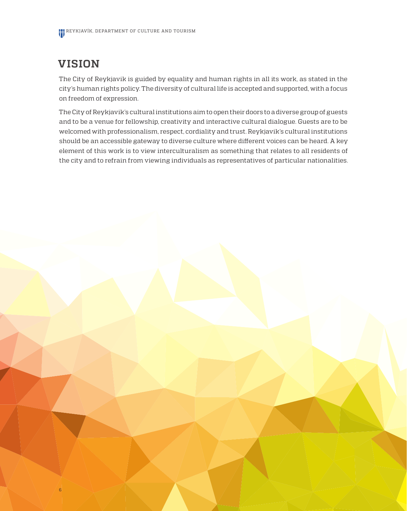## **VISION**

6

The City of Reykjavik is guided by equality and human rights in all its work, as stated in the city's human rights policy. The diversity of cultural life is accepted and supported, with a focus on freedom of expression.

The City of Reykjavik's cultural institutions aim to open their doors to a diverse group of guests and to be a venue for fellowship, creativity and interactive cultural dialogue. Guests are to be welcomed with professionalism, respect, cordiality and trust. Reykjavik's cultural institutions should be an accessible gateway to diverse culture where different voices can be heard. A key element of this work is to view interculturalism as something that relates to all residents of the city and to refrain from viewing individuals as representatives of particular nationalities.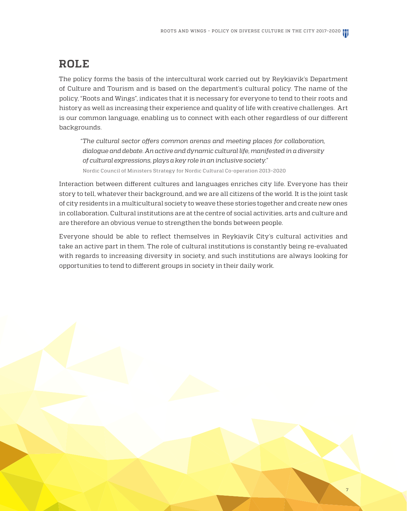7

## **ROLE**

The policy forms the basis of the intercultural work carried out by Reykjavik's Department of Culture and Tourism and is based on the department's cultural policy. The name of the policy, "Roots and Wings", indicates that it is necessary for everyone to tend to their roots and history as well as increasing their experience and quality of life with creative challenges. Art is our common language, enabling us to connect with each other regardless of our different backgrounds.

*"The cultural sector offers common arenas and meeting places for collaboration, dialogue and debate. An active and dynamic cultural life, manifested in a diversity of cultural expressions, plays a key role in an inclusive society."*  Nordic Council of Ministers Strategy for Nordic Cultural Co-operation 2013–2020

Interaction between different cultures and languages enriches city life. Everyone has their story to tell, whatever their background, and we are all citizens of the world. It is the joint task of city residents in a multicultural society to weave these stories together and create new ones in collaboration. Cultural institutions are at the centre of social activities, arts and culture and are therefore an obvious venue to strengthen the bonds between people.

Everyone should be able to reflect themselves in Reykjavik City's cultural activities and take an active part in them. The role of cultural institutions is constantly being re-evaluated with regards to increasing diversity in society, and such institutions are always looking for opportunities to tend to different groups in society in their daily work.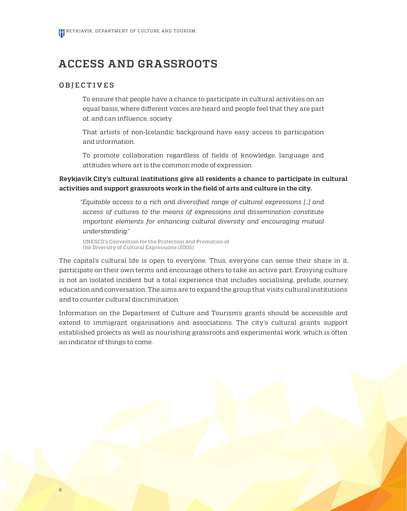## **ACCESS AND GRASSROOTS**

#### OBJECTIVES

To ensure that people have a chance to participate in cultural activities on an equal basis, where different voices are heard and people feel that they are part of, and can influence, society.

That artists of non-Icelandic background have easy access to participation and information.

To promote collaboration regardless of fields of knowledge, language and attitudes where art is the common mode of expression.

**Reykjavik City's cultural institutions give all residents a chance to participate in cultural activities and support grassroots work in the field of arts and culture in the city.**

*"Equitable access to a rich and diversified range of cultural expressions […] and access of cultures to the means of expressions and dissemination constitute important elements for enhancing cultural diversity and encouraging mutual understanding."* 

UNESCO's Convention for the Protection and Promotion of the Diversity of Cultural Expressions (2005)

The capital's cultural life is open to everyone. Thus, everyone can sense their share in it, participate on their own terms and encourage others to take an active part. Enjoying culture is not an isolated incident but a total experience that includes socialising, prelude, journey, education and conversation. The aims are to expand the group that visits cultural institutions and to counter cultural discrimination.

Information on the Department of Culture and Tourism's grants should be accessible and extend to immigrant organisations and associations. The city's cultural grants support established projects as well as nourishing grassroots and experimental work, which is often an indicator of things to come.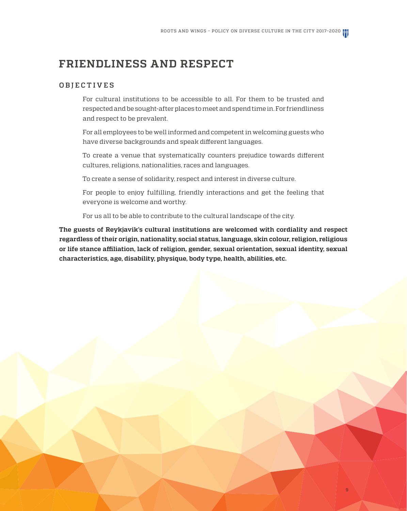9

## **FRIENDLINESS AND RESPECT**

#### OBJECTIVES

For cultural institutions to be accessible to all. For them to be trusted and respected and be sought-after places to meet and spend time in. For friendliness and respect to be prevalent.

For all employees to be well informed and competent in welcoming guests who have diverse backgrounds and speak different languages.

To create a venue that systematically counters prejudice towards different cultures, religions, nationalities, races and languages.

To create a sense of solidarity, respect and interest in diverse culture.

For people to enjoy fulfilling, friendly interactions and get the feeling that everyone is welcome and worthy.

For us all to be able to contribute to the cultural landscape of the city.

**The guests of Reykjavik's cultural institutions are welcomed with cordiality and respect regardless of their origin, nationality, social status, language, skin colour, religion, religious or life stance affiliation, lack of religion, gender, sexual orientation, sexual identity, sexual characteristics, age, disability, physique, body type, health, abilities, etc.**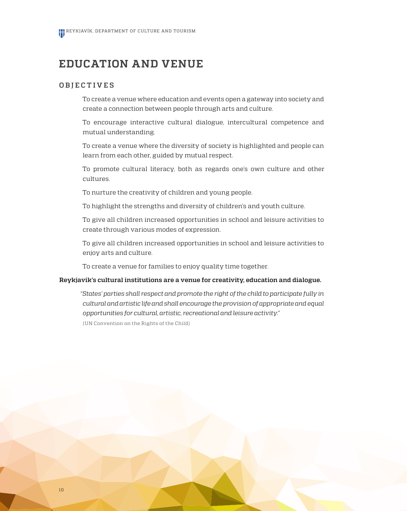## **EDUCATION AND VENUE**

#### OBJECTIVES

To create a venue where education and events open a gateway into society and create a connection between people through arts and culture.

To encourage interactive cultural dialogue, intercultural competence and mutual understanding.

To create a venue where the diversity of society is highlighted and people can learn from each other, guided by mutual respect.

To promote cultural literacy, both as regards one's own culture and other cultures.

To nurture the creativity of children and young people.

To highlight the strengths and diversity of children's and youth culture.

To give all children increased opportunities in school and leisure activities to create through various modes of expression.

To give all children increased opportunities in school and leisure activities to enjoy arts and culture.

To create a venue for families to enjoy quality time together.

#### **Reykjavik's cultural institutions are a venue for creativity, education and dialogue.**

*"States' parties shall respect and promote the right of the child to participate fully in cultural and artistic life and shall encourage the provision of appropriate and equal opportunities for cultural, artistic, recreational and leisure activity."* (UN Convention on the Rights of the Child)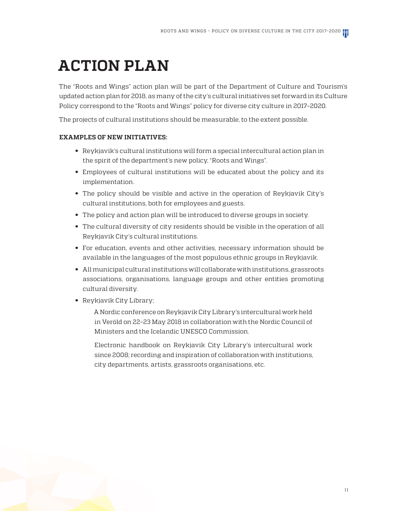## **ACTION PLAN**

The "Roots and Wings" action plan will be part of the Department of Culture and Tourism's updated action plan for 2018, as many of the city's cultural initiatives set forward in its Culture Policy correspond to the "Roots and Wings" policy for diverse city culture in 2017–2020.

The projects of cultural institutions should be measurable, to the extent possible.

#### **EXAMPLES OF NEW INITIATIVES:**

- Reykjavik's cultural institutions will form a special intercultural action plan in the spirit of the department's new policy, "Roots and Wings".
- Employees of cultural institutions will be educated about the policy and its implementation.
- The policy should be visible and active in the operation of Reykjavik City's cultural institutions, both for employees and guests.
- The policy and action plan will be introduced to diverse groups in society.
- The cultural diversity of city residents should be visible in the operation of all Reykjavik City's cultural institutions.
- For education, events and other activities, necessary information should be available in the languages of the most populous ethnic groups in Reykjavik.
- All municipal cultural institutions will collaborate with institutions, grassroots associations, organisations, language groups and other entities promoting cultural diversity.
- Reykjavik City Library;

A Nordic conference on Reykjavik City Library's intercultural work held in Veröld on 22–23 May 2018 in collaboration with the Nordic Council of Ministers and the Icelandic UNESCO Commission.

Electronic handbook on Reykjavik City Library's intercultural work since 2008; recording and inspiration of collaboration with institutions, city departments, artists, grassroots organisations, etc.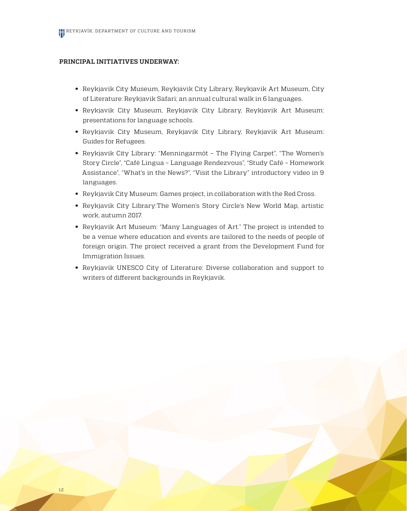#### **PRINCIPAL INITIATIVES UNDERWAY:**

- Reykjavik City Museum, Reykjavik City Library, Reykjavik Art Museum, City of Literature: Reykjavik Safari; an annual cultural walk in 6 languages.
- Reykjavik City Museum, Reykjavik City Library, Reykjavik Art Museum: presentations for language schools.
- Reykjavik City Museum, Reykjavik City Library, Reykjavik Art Museum: Guides for Refugees.
- Reykjavik City Library: "Menningarmót The Flying Carpet", "The Women's Story Circle", "Café Lingua – Language Rendezvous", "Study Café – Homework Assistance", "What's in the News?", "Visit the Library" introductory video in 9 languages.
- Reykjavik City Museum: Games project, in collaboration with the Red Cross.
- Reykjavik City Library:The Women's Story Circle's New World Map, artistic work, autumn 2017.
- Reykjavik Art Museum: "Many Languages of Art." The project is intended to be a venue where education and events are tailored to the needs of people of foreign origin. The project received a grant from the Development Fund for Immigration Issues.
- Reykjavik UNESCO City of Literature: Diverse collaboration and support to writers of different backgrounds in Reykjavik.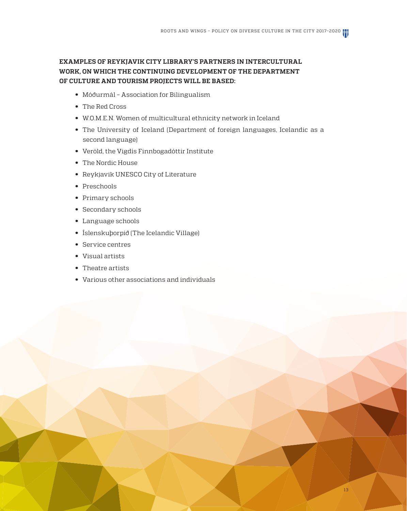13

### **EXAMPLES OF REYKJAVIK CITY LIBRARY'S PARTNERS IN INTERCULTURAL WORK, ON WHICH THE CONTINUING DEVELOPMENT OF THE DEPARTMENT OF CULTURE AND TOURISM PROJECTS WILL BE BASED:**

- Móðurmál Association for Bilingualism
- The Red Cross
- W.O.M.E.N. Women of multicultural ethnicity network in Iceland
- The University of Iceland (Department of foreign languages, Icelandic as a second language)
- Veröld, the Vigdís Finnbogadóttir Institute
- The Nordic House
- Reykjavik UNESCO City of Literature
- Preschools
- Primary schools
- Secondary schools
- Language schools
- Íslenskuþorpið (The Icelandic Village)
- Service centres
- Visual artists
- Theatre artists
- Various other associations and individuals